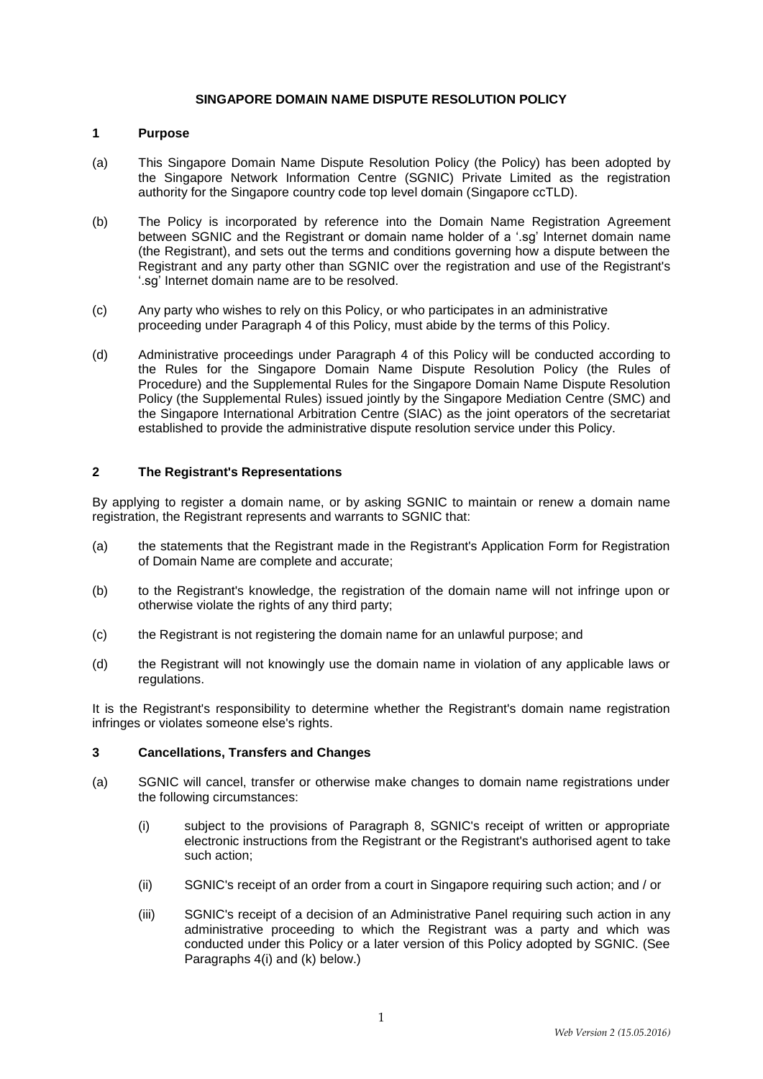#### **SINGAPORE DOMAIN NAME DISPUTE RESOLUTION POLICY**

### **1 Purpose**

- (a) This Singapore Domain Name Dispute Resolution Policy (the Policy) has been adopted by the Singapore Network Information Centre (SGNIC) Private Limited as the registration authority for the Singapore country code top level domain (Singapore ccTLD).
- (b) The Policy is incorporated by reference into the Domain Name Registration Agreement between SGNIC and the Registrant or domain name holder of a '.sg' Internet domain name (the Registrant), and sets out the terms and conditions governing how a dispute between the Registrant and any party other than SGNIC over the registration and use of the Registrant's '.sg' Internet domain name are to be resolved.
- (c) Any party who wishes to rely on this Policy, or who participates in an administrative proceeding under Paragraph 4 of this Policy, must abide by the terms of this Policy.
- (d) Administrative proceedings under Paragraph 4 of this Policy will be conducted according to the Rules for the Singapore Domain Name Dispute Resolution Policy (the Rules of Procedure) and the Supplemental Rules for the Singapore Domain Name Dispute Resolution Policy (the Supplemental Rules) issued jointly by the Singapore Mediation Centre (SMC) and the Singapore International Arbitration Centre (SIAC) as the joint operators of the secretariat established to provide the administrative dispute resolution service under this Policy.

#### **2 The Registrant's Representations**

By applying to register a domain name, or by asking SGNIC to maintain or renew a domain name registration, the Registrant represents and warrants to SGNIC that:

- (a) the statements that the Registrant made in the Registrant's Application Form for Registration of Domain Name are complete and accurate;
- (b) to the Registrant's knowledge, the registration of the domain name will not infringe upon or otherwise violate the rights of any third party;
- (c) the Registrant is not registering the domain name for an unlawful purpose; and
- (d) the Registrant will not knowingly use the domain name in violation of any applicable laws or regulations.

It is the Registrant's responsibility to determine whether the Registrant's domain name registration infringes or violates someone else's rights.

### **3 Cancellations, Transfers and Changes**

- (a) SGNIC will cancel, transfer or otherwise make changes to domain name registrations under the following circumstances:
	- (i) subject to the provisions of Paragraph 8, SGNIC's receipt of written or appropriate electronic instructions from the Registrant or the Registrant's authorised agent to take such action;
	- (ii) SGNIC's receipt of an order from a court in Singapore requiring such action; and / or
	- (iii) SGNIC's receipt of a decision of an Administrative Panel requiring such action in any administrative proceeding to which the Registrant was a party and which was conducted under this Policy or a later version of this Policy adopted by SGNIC. (See Paragraphs 4(i) and (k) below.)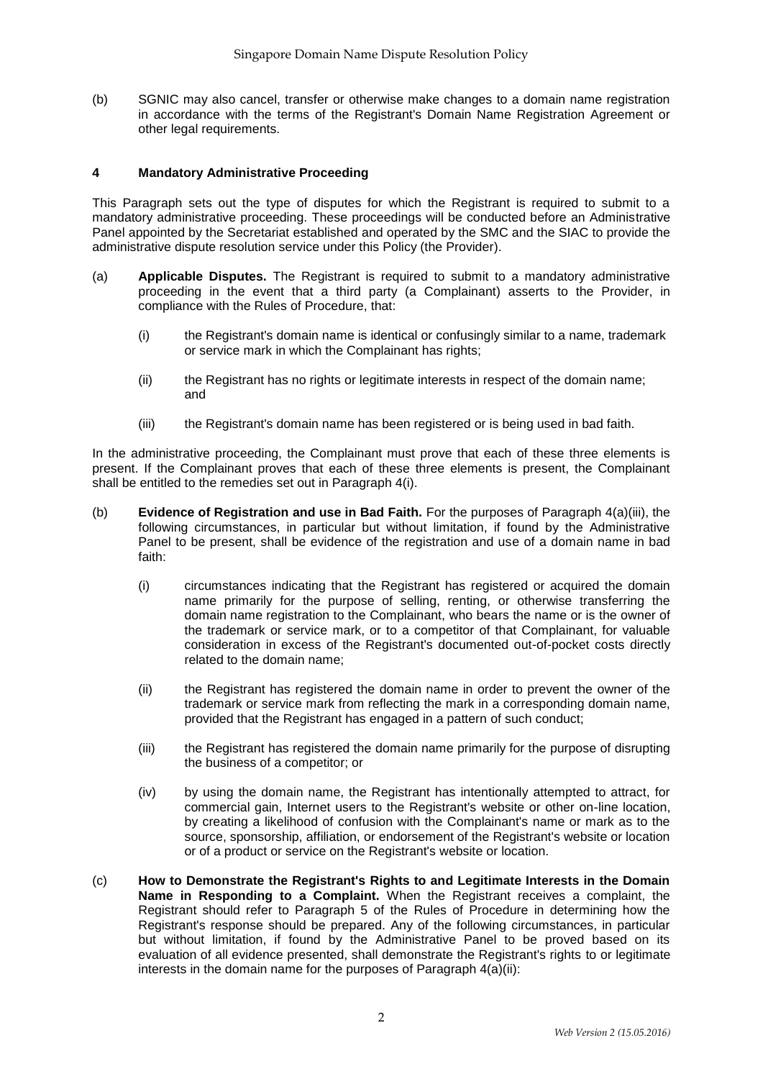(b) SGNIC may also cancel, transfer or otherwise make changes to a domain name registration in accordance with the terms of the Registrant's Domain Name Registration Agreement or other legal requirements.

## **4 Mandatory Administrative Proceeding**

This Paragraph sets out the type of disputes for which the Registrant is required to submit to a mandatory administrative proceeding. These proceedings will be conducted before an Administrative Panel appointed by the Secretariat established and operated by the SMC and the SIAC to provide the administrative dispute resolution service under this Policy (the Provider).

- (a) **Applicable Disputes.** The Registrant is required to submit to a mandatory administrative proceeding in the event that a third party (a Complainant) asserts to the Provider, in compliance with the Rules of Procedure, that:
	- (i) the Registrant's domain name is identical or confusingly similar to a name, trademark or service mark in which the Complainant has rights;
	- (ii) the Registrant has no rights or legitimate interests in respect of the domain name; and
	- (iii) the Registrant's domain name has been registered or is being used in bad faith.

In the administrative proceeding, the Complainant must prove that each of these three elements is present. If the Complainant proves that each of these three elements is present, the Complainant shall be entitled to the remedies set out in Paragraph 4(i).

- (b) **Evidence of Registration and use in Bad Faith.** For the purposes of Paragraph 4(a)(iii), the following circumstances, in particular but without limitation, if found by the Administrative Panel to be present, shall be evidence of the registration and use of a domain name in bad faith:
	- (i) circumstances indicating that the Registrant has registered or acquired the domain name primarily for the purpose of selling, renting, or otherwise transferring the domain name registration to the Complainant, who bears the name or is the owner of the trademark or service mark, or to a competitor of that Complainant, for valuable consideration in excess of the Registrant's documented out-of-pocket costs directly related to the domain name;
	- (ii) the Registrant has registered the domain name in order to prevent the owner of the trademark or service mark from reflecting the mark in a corresponding domain name, provided that the Registrant has engaged in a pattern of such conduct;
	- (iii) the Registrant has registered the domain name primarily for the purpose of disrupting the business of a competitor; or
	- (iv) by using the domain name, the Registrant has intentionally attempted to attract, for commercial gain, Internet users to the Registrant's website or other on-line location, by creating a likelihood of confusion with the Complainant's name or mark as to the source, sponsorship, affiliation, or endorsement of the Registrant's website or location or of a product or service on the Registrant's website or location.
- (c) **How to Demonstrate the Registrant's Rights to and Legitimate Interests in the Domain Name in Responding to a Complaint.** When the Registrant receives a complaint, the Registrant should refer to Paragraph 5 of the Rules of Procedure in determining how the Registrant's response should be prepared. Any of the following circumstances, in particular but without limitation, if found by the Administrative Panel to be proved based on its evaluation of all evidence presented, shall demonstrate the Registrant's rights to or legitimate interests in the domain name for the purposes of Paragraph 4(a)(ii):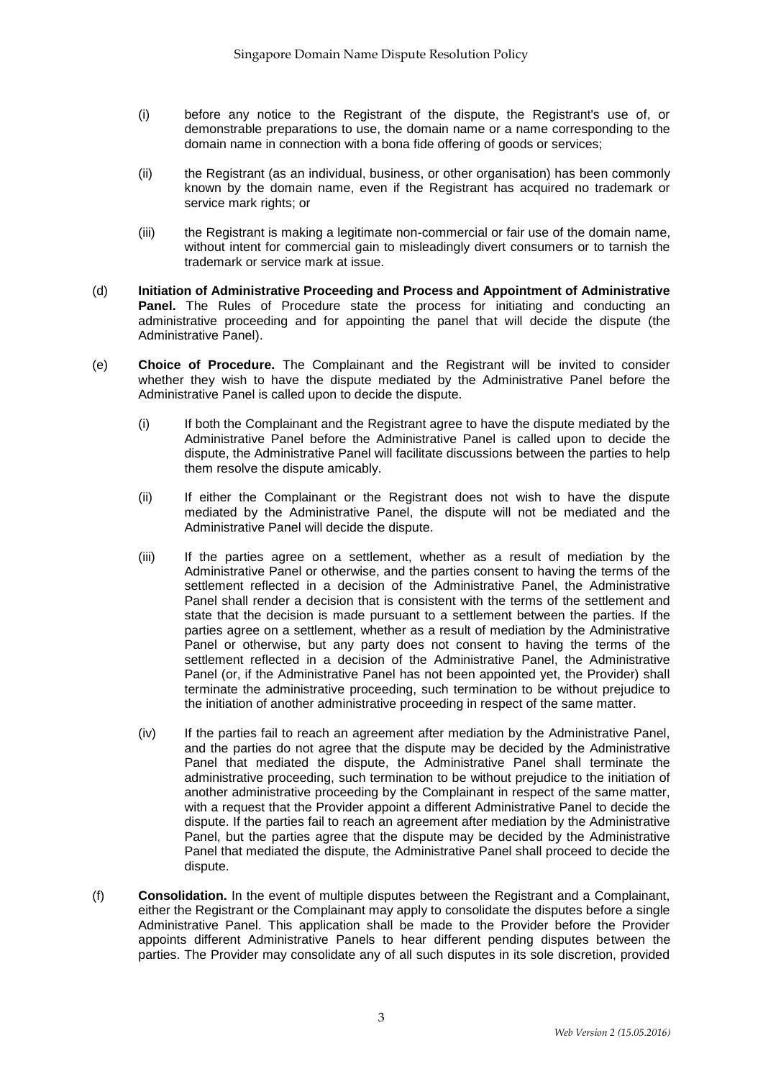- (i) before any notice to the Registrant of the dispute, the Registrant's use of, or demonstrable preparations to use, the domain name or a name corresponding to the domain name in connection with a bona fide offering of goods or services;
- (ii) the Registrant (as an individual, business, or other organisation) has been commonly known by the domain name, even if the Registrant has acquired no trademark or service mark rights; or
- (iii) the Registrant is making a legitimate non-commercial or fair use of the domain name, without intent for commercial gain to misleadingly divert consumers or to tarnish the trademark or service mark at issue.
- (d) **Initiation of Administrative Proceeding and Process and Appointment of Administrative Panel.** The Rules of Procedure state the process for initiating and conducting an administrative proceeding and for appointing the panel that will decide the dispute (the Administrative Panel).
- (e) **Choice of Procedure.** The Complainant and the Registrant will be invited to consider whether they wish to have the dispute mediated by the Administrative Panel before the Administrative Panel is called upon to decide the dispute.
	- (i) If both the Complainant and the Registrant agree to have the dispute mediated by the Administrative Panel before the Administrative Panel is called upon to decide the dispute, the Administrative Panel will facilitate discussions between the parties to help them resolve the dispute amicably.
	- (ii) If either the Complainant or the Registrant does not wish to have the dispute mediated by the Administrative Panel, the dispute will not be mediated and the Administrative Panel will decide the dispute.
	- (iii) If the parties agree on a settlement, whether as a result of mediation by the Administrative Panel or otherwise, and the parties consent to having the terms of the settlement reflected in a decision of the Administrative Panel, the Administrative Panel shall render a decision that is consistent with the terms of the settlement and state that the decision is made pursuant to a settlement between the parties. If the parties agree on a settlement, whether as a result of mediation by the Administrative Panel or otherwise, but any party does not consent to having the terms of the settlement reflected in a decision of the Administrative Panel, the Administrative Panel (or, if the Administrative Panel has not been appointed yet, the Provider) shall terminate the administrative proceeding, such termination to be without prejudice to the initiation of another administrative proceeding in respect of the same matter.
	- (iv) If the parties fail to reach an agreement after mediation by the Administrative Panel, and the parties do not agree that the dispute may be decided by the Administrative Panel that mediated the dispute, the Administrative Panel shall terminate the administrative proceeding, such termination to be without prejudice to the initiation of another administrative proceeding by the Complainant in respect of the same matter, with a request that the Provider appoint a different Administrative Panel to decide the dispute. If the parties fail to reach an agreement after mediation by the Administrative Panel, but the parties agree that the dispute may be decided by the Administrative Panel that mediated the dispute, the Administrative Panel shall proceed to decide the dispute.
- (f) **Consolidation.** In the event of multiple disputes between the Registrant and a Complainant, either the Registrant or the Complainant may apply to consolidate the disputes before a single Administrative Panel. This application shall be made to the Provider before the Provider appoints different Administrative Panels to hear different pending disputes between the parties. The Provider may consolidate any of all such disputes in its sole discretion, provided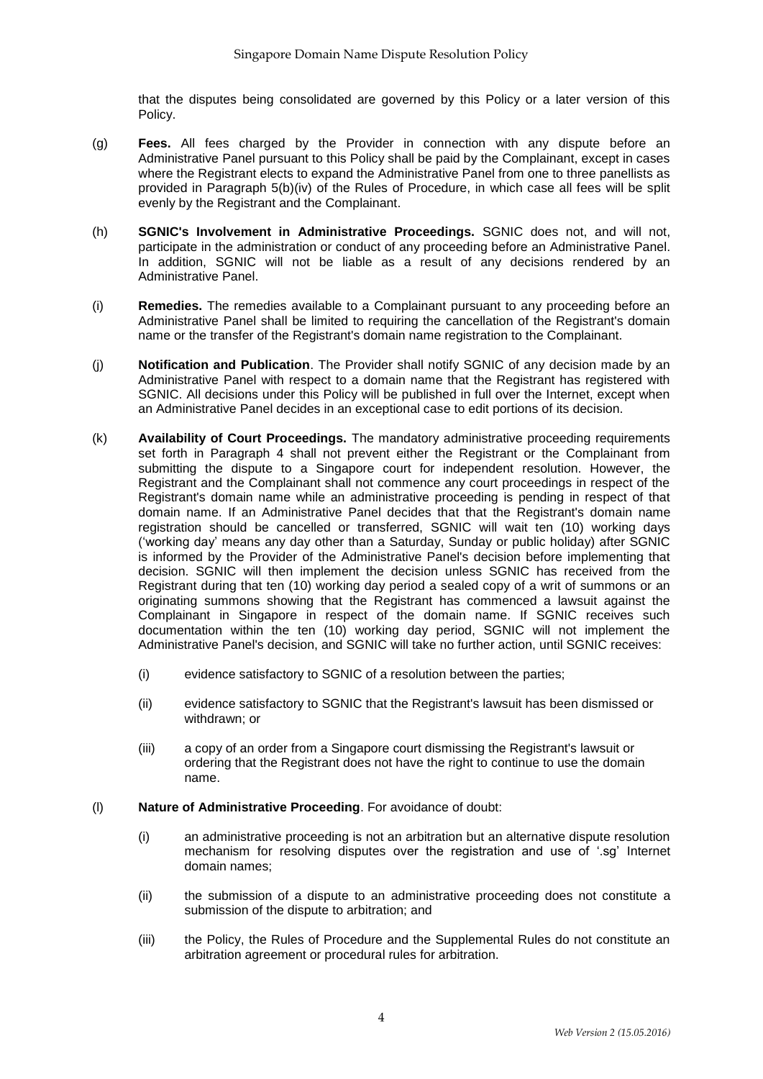that the disputes being consolidated are governed by this Policy or a later version of this Policy.

- (g) **Fees.** All fees charged by the Provider in connection with any dispute before an Administrative Panel pursuant to this Policy shall be paid by the Complainant, except in cases where the Registrant elects to expand the Administrative Panel from one to three panellists as provided in Paragraph 5(b)(iv) of the Rules of Procedure, in which case all fees will be split evenly by the Registrant and the Complainant.
- (h) **SGNIC's Involvement in Administrative Proceedings.** SGNIC does not, and will not, participate in the administration or conduct of any proceeding before an Administrative Panel. In addition, SGNIC will not be liable as a result of any decisions rendered by an Administrative Panel.
- (i) **Remedies.** The remedies available to a Complainant pursuant to any proceeding before an Administrative Panel shall be limited to requiring the cancellation of the Registrant's domain name or the transfer of the Registrant's domain name registration to the Complainant.
- (j) **Notification and Publication**. The Provider shall notify SGNIC of any decision made by an Administrative Panel with respect to a domain name that the Registrant has registered with SGNIC. All decisions under this Policy will be published in full over the Internet, except when an Administrative Panel decides in an exceptional case to edit portions of its decision.
- (k) **Availability of Court Proceedings.** The mandatory administrative proceeding requirements set forth in Paragraph 4 shall not prevent either the Registrant or the Complainant from submitting the dispute to a Singapore court for independent resolution. However, the Registrant and the Complainant shall not commence any court proceedings in respect of the Registrant's domain name while an administrative proceeding is pending in respect of that domain name. If an Administrative Panel decides that that the Registrant's domain name registration should be cancelled or transferred, SGNIC will wait ten (10) working days ('working day' means any day other than a Saturday, Sunday or public holiday) after SGNIC is informed by the Provider of the Administrative Panel's decision before implementing that decision. SGNIC will then implement the decision unless SGNIC has received from the Registrant during that ten (10) working day period a sealed copy of a writ of summons or an originating summons showing that the Registrant has commenced a lawsuit against the Complainant in Singapore in respect of the domain name. If SGNIC receives such documentation within the ten (10) working day period, SGNIC will not implement the Administrative Panel's decision, and SGNIC will take no further action, until SGNIC receives:
	- (i) evidence satisfactory to SGNIC of a resolution between the parties;
	- (ii) evidence satisfactory to SGNIC that the Registrant's lawsuit has been dismissed or withdrawn; or
	- (iii) a copy of an order from a Singapore court dismissing the Registrant's lawsuit or ordering that the Registrant does not have the right to continue to use the domain name.

### (l) **Nature of Administrative Proceeding**. For avoidance of doubt:

- (i) an administrative proceeding is not an arbitration but an alternative dispute resolution mechanism for resolving disputes over the registration and use of '.sg' Internet domain names;
- (ii) the submission of a dispute to an administrative proceeding does not constitute a submission of the dispute to arbitration; and
- (iii) the Policy, the Rules of Procedure and the Supplemental Rules do not constitute an arbitration agreement or procedural rules for arbitration.